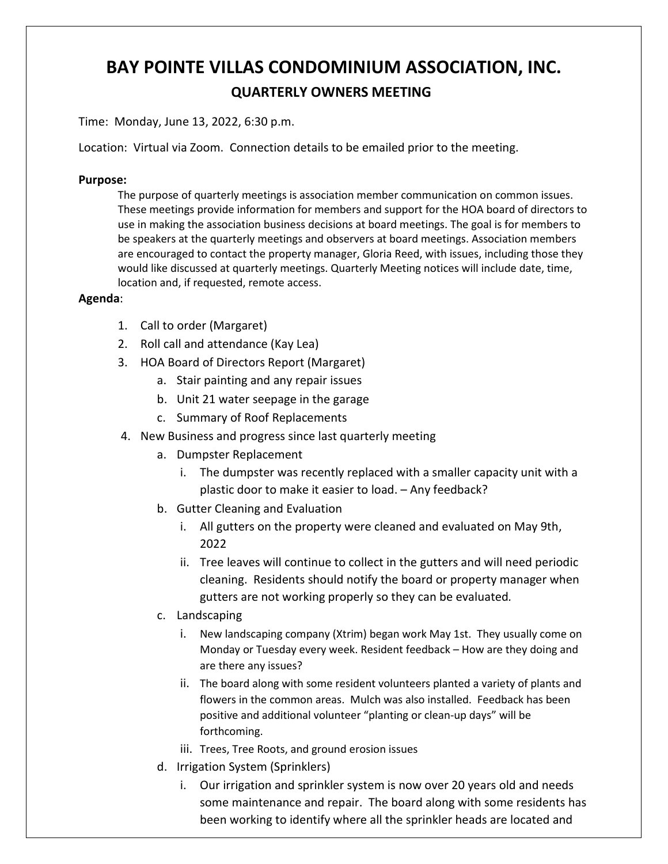## **BAY POINTE VILLAS CONDOMINIUM ASSOCIATION, INC. QUARTERLY OWNERS MEETING**

Time: Monday, June 13, 2022, 6:30 p.m.

Location: Virtual via Zoom. Connection details to be emailed prior to the meeting.

## **Purpose:**

The purpose of quarterly meetings is association member communication on common issues. These meetings provide information for members and support for the HOA board of directors to use in making the association business decisions at board meetings. The goal is for members to be speakers at the quarterly meetings and observers at board meetings. Association members are encouraged to contact the property manager, Gloria Reed, with issues, including those they would like discussed at quarterly meetings. Quarterly Meeting notices will include date, time, location and, if requested, remote access.

## **Agenda**:

- 1. Call to order (Margaret)
- 2. Roll call and attendance (Kay Lea)
- 3. HOA Board of Directors Report (Margaret)
	- a. Stair painting and any repair issues
	- b. Unit 21 water seepage in the garage
	- c. Summary of Roof Replacements
- 4. New Business and progress since last quarterly meeting
	- a. Dumpster Replacement
		- i. The dumpster was recently replaced with a smaller capacity unit with a plastic door to make it easier to load. – Any feedback?
	- b. Gutter Cleaning and Evaluation
		- i. All gutters on the property were cleaned and evaluated on May 9th, 2022
		- ii. Tree leaves will continue to collect in the gutters and will need periodic cleaning. Residents should notify the board or property manager when gutters are not working properly so they can be evaluated*.*
	- c. Landscaping
		- i. New landscaping company (Xtrim) began work May 1st. They usually come on Monday or Tuesday every week. Resident feedback – How are they doing and are there any issues?
		- ii. The board along with some resident volunteers planted a variety of plants and flowers in the common areas. Mulch was also installed. Feedback has been positive and additional volunteer "planting or clean-up days" will be forthcoming.
		- iii. Trees, Tree Roots, and ground erosion issues
	- d. Irrigation System (Sprinklers)
		- i. Our irrigation and sprinkler system is now over 20 years old and needs some maintenance and repair. The board along with some residents has been working to identify where all the sprinkler heads are located and